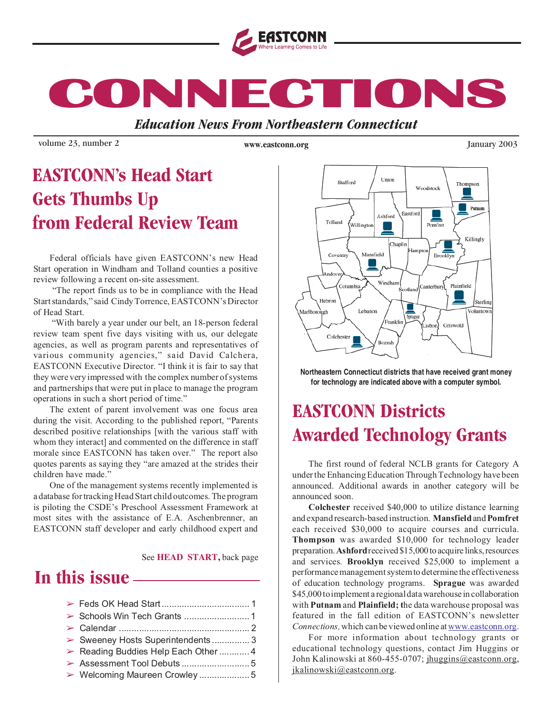

**CONNECTIONS CONNECTIONS CONNECTIONS**

*Education News From Northeastern Connecticut*

volume 23, number 2 *www.eastconn.org January 2003* 

**www.eastconn.org**

### **EASTCONN's Head Start Gets Thumbs Up from Federal Review Team**

Federal officials have given EASTCONN's new Head Start operation in Windham and Tolland counties a positive review following a recent on-site assessment.

"The report finds us to be in compliance with the Head Start standards," said Cindy Torrence, EASTCONN's Director of Head Start.

"With barely a year under our belt, an 18-person federal review team spent five days visiting with us, our delegate agencies, as well as program parents and representatives of various community agencies," said David Calchera, EASTCONN Executive Director. "I think it is fair to say that they were very impressed with the complex number of systems and partnerships that were put in place to manage the program operations in such a short period of time."

The extent of parent involvement was one focus area during the visit. According to the published report, "Parents described positive relationships [with the various staff with whom they interact] and commented on the difference in staff morale since EASTCONN has taken over." The report also quotes parents as saying they "are amazed at the strides their children have made."

One of the management systems recently implemented is a database for tracking Head Start child outcomes. The program is piloting the CSDE's Preschool Assessment Framework at most sites with the assistance of E.A. Aschenbrenner, an EASTCONN staff developer and early childhood expert and

See **HEAD START,** back page

### **In this issue**

| Sweeney Hosts Superintendents3     |  |
|------------------------------------|--|
| Reading Buddies Help Each Other  4 |  |
|                                    |  |
|                                    |  |



**Northeastern Connecticut districts that have received grant money for technology are indicated above with a computer symbol.**

### **EASTCONN Districts Awarded Technology Grants**

The first round of federal NCLB grants for Category A under the Enhancing Education Through Technology have been announced. Additional awards in another category will be announced soon.

**Colchester** received \$40,000 to utilize distance learning and expand research-based instruction. **Mansfield** and **Pomfret** each received \$30,000 to acquire courses and curricula. **Thompson** was awarded \$10,000 for technology leader preparation. **Ashford** received \$15,000 to acquire links, resources and services. **Brooklyn** received \$25,000 to implement a performance management system to determine the effectiveness of education technology programs. **Sprague** was awarded \$45,000 to implement a regional data warehouse in collaboration with **Putnam** and **Plainfield; t**he data warehouse proposal was featured in the fall edition of EASTCONN's newsletter *Connections,* which can be viewed online at www.eastconn.org.

For more information about technology grants or educational technology questions, contact Jim Huggins or John Kalinowski at 860-455-0707; jhuggins@eastconn.org, jkalinowski@eastconn.org.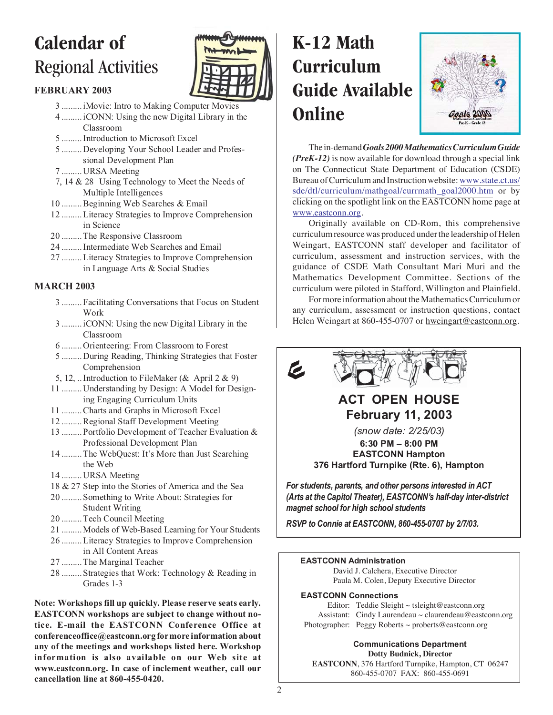## **Calendar of** Regional Activities



### **FEBRUARY 2003**

- 3 ......... iMovie: Intro to Making Computer Movies
- 4 ......... iCONN: Using the new Digital Library in the Classroom
- 5 ......... Introduction to Microsoft Excel
- 5 ......... Developing Your School Leader and Professional Development Plan
- 7 ......... URSA Meeting
- 7, 14 & 28 Using Technology to Meet the Needs of Multiple Intelligences
- 10 ......... Beginning Web Searches & Email
- 12 ......... Literacy Strategies to Improve Comprehension in Science
- 20 ......... The Responsive Classroom
- 24 ......... Intermediate Web Searches and Email
- 27 ......... Literacy Strategies to Improve Comprehension in Language Arts & Social Studies

### **MARCH 2003**

- 3 ......... Facilitating Conversations that Focus on Student Work
- 3 ......... iCONN: Using the new Digital Library in the Classroom
- 6 ......... Orienteering: From Classroom to Forest
- 5 ......... During Reading, Thinking Strategies that Foster Comprehension
- 5, 12, ... Introduction to FileMaker ( $\&$  April 2  $\&$  9)
- 11 ......... Understanding by Design: A Model for Designing Engaging Curriculum Units
- 11 ......... Charts and Graphs in Microsoft Excel
- 12 ......... Regional Staff Development Meeting
- 13 ......... Portfolio Development of Teacher Evaluation & Professional Development Plan
- 14 ......... The WebQuest: It's More than Just Searching the Web
- 14 ......... URSA Meeting
- 18 & 27 Step into the Stories of America and the Sea
- 20 ......... Something to Write About: Strategies for Student Writing
- 20 ......... Tech Council Meeting
- 21 ......... Models of Web-Based Learning for Your Students
- 26 ......... Literacy Strategies to Improve Comprehension in All Content Areas
- 27 ......... The Marginal Teacher
- 28 ......... Strategies that Work: Technology & Reading in Grades 1-3

**Note: Workshops fill up quickly. Please reserve seats early. EASTCONN workshops are subject to change without notice. E-mail the EASTCONN Conference Office at conferenceoffice@eastconn.org for more information about any of the meetings and workshops listed here. Workshop information is also available on our Web site at www.eastconn.org. In case of inclement weather, call our cancellation line at 860-455-0420.**

# **K-12 Math Curriculum Guide Available Online**



The in-demand*Goals 2000Mathematics Curriculum Guide (PreK-12)* is now available for download through a special link on The Connecticut State Department of Education (CSDE) Bureau of Curriculum and Instruction website: www.state.ct.us/ sde/dtl/curriculum/mathgoal/currmath\_goal2000.htm or by clicking on the spotlight link on the EASTCONN home page at www.eastconn.org.

Originally available on CD-Rom, this comprehensive curriculum resource was produced under the leadership of Helen Weingart, EASTCONN staff developer and facilitator of curriculum, assessment and instruction services, with the guidance of CSDE Math Consultant Mari Muri and the Mathematics Development Committee. Sections of the curriculum were piloted in Stafford, Willington and Plainfield.

For more information about the Mathematics Curriculum or any curriculum, assessment or instruction questions, contact Helen Weingart at 860-455-0707 or hweingart@eastconn.org.



### **ACT OPEN HOUSE February 11, 2003**

*(snow date: 2/25/03)* **6:30 PM – 8:00 PM EASTCONN Hampton 376 Hartford Turnpike (Rte. 6), Hampton**

*For students, parents, and other persons interested in ACT (Arts at the Capitol Theater), EASTCONN's half-day inter-district magnet school for high school students*

*RSVP to Connie at EASTCONN, 860-455-0707 by 2/7/03.*

#### **EASTCONN Administration**

David J. Calchera, Executive Director Paula M. Colen, Deputy Executive Director

#### **EASTCONN Connections**

Editor: Teddie Sleight  $\sim$  tsleight@eastconn.org Assistant: Cindy Laurendeau ~ claurendeau@eastconn.org Photographer: Peggy Roberts ~ proberts@eastconn.org

#### **Communications Department Dotty Budnick, Director**

**EASTCONN**, 376 Hartford Turnpike, Hampton, CT 06247 860-455-0707 FAX: 860-455-0691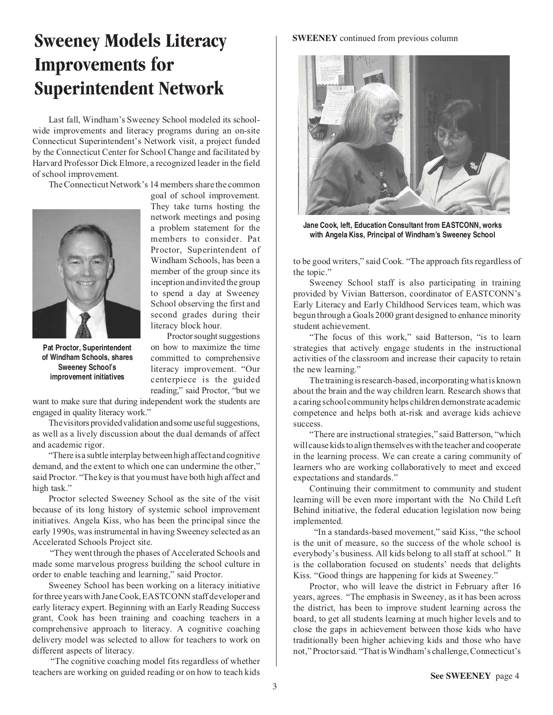### **Sweeney Models Literacy Improvements for Superintendent Network**

Last fall, Windham's Sweeney School modeled its schoolwide improvements and literacy programs during an on-site Connecticut Superintendent's Network visit, a project funded by the Connecticut Center for School Change and facilitated by Harvard Professor Dick Elmore, a recognized leader in the field of school improvement.

The Connecticut Network's 14 members share the common



**Pat Proctor, Superintendent of Windham Schools, shares Sweeney School's improvement initiatives**

goal of school improvement. They take turns hosting the network meetings and posing a problem statement for the members to consider. Pat Proctor, Superintendent of Windham Schools, has been a member of the group since its inception and invited the group to spend a day at Sweeney School observing the first and second grades during their literacy block hour.

Proctor sought suggestions on how to maximize the time committed to comprehensive literacy improvement. "Our centerpiece is the guided reading," said Proctor, "but we

want to make sure that during independent work the students are engaged in quality literacy work."

The visitors provided validation and some useful suggestions, as well as a lively discussion about the dual demands of affect and academic rigor.

"There is a subtle interplay between high affect and cognitive demand, and the extent to which one can undermine the other," said Proctor. "The key is that you must have both high affect and high task."

Proctor selected Sweeney School as the site of the visit because of its long history of systemic school improvement initiatives. Angela Kiss, who has been the principal since the early 1990s, was instrumental in having Sweeney selected as an Accelerated Schools Project site.

"They went through the phases of Accelerated Schools and made some marvelous progress building the school culture in order to enable teaching and learning," said Proctor.

Sweeney School has been working on a literacy initiative for three years with Jane Cook, EASTCONN staff developer and early literacy expert. Beginning with an Early Reading Success grant, Cook has been training and coaching teachers in a comprehensive approach to literacy. A cognitive coaching delivery model was selected to allow for teachers to work on different aspects of literacy.

"The cognitive coaching model fits regardless of whether teachers are working on guided reading or on how to teach kids

#### **SWEENEY** continued from previous column



**Jane Cook, left, Education Consultant from EASTCONN, works with Angela Kiss, Principal of Windham's Sweeney School**

to be good writers," said Cook. "The approach fits regardless of the topic."

Sweeney School staff is also participating in training provided by Vivian Batterson, coordinator of EASTCONN's Early Literacy and Early Childhood Services team, which was begun through a Goals 2000 grant designed to enhance minority student achievement.

"The focus of this work," said Batterson, "is to learn strategies that actively engage students in the instructional activities of the classroom and increase their capacity to retain the new learning."

The training is research-based, incorporating what is known about the brain and the way children learn. Research shows that a caring school community helps children demonstrate academic competence and helps both at-risk and average kids achieve success.

"There are instructional strategies," said Batterson, "which will cause kids to align themselves with the teacher and cooperate in the learning process. We can create a caring community of learners who are working collaboratively to meet and exceed expectations and standards."

Continuing their commitment to community and student learning will be even more important with the No Child Left Behind initiative, the federal education legislation now being implemented.

"In a standards-based movement," said Kiss, "the school is the unit of measure, so the success of the whole school is everybody's business. All kids belong to all staff at school." It is the collaboration focused on students' needs that delights Kiss. "Good things are happening for kids at Sweeney."

Proctor, who will leave the district in February after 16 years, agrees. "The emphasis in Sweeney, as it has been across the district, has been to improve student learning across the board, to get all students learning at much higher levels and to close the gaps in achievement between those kids who have traditionally been higher achieving kids and those who have not," Proctor said. "That is Windham's challenge, Connecticut's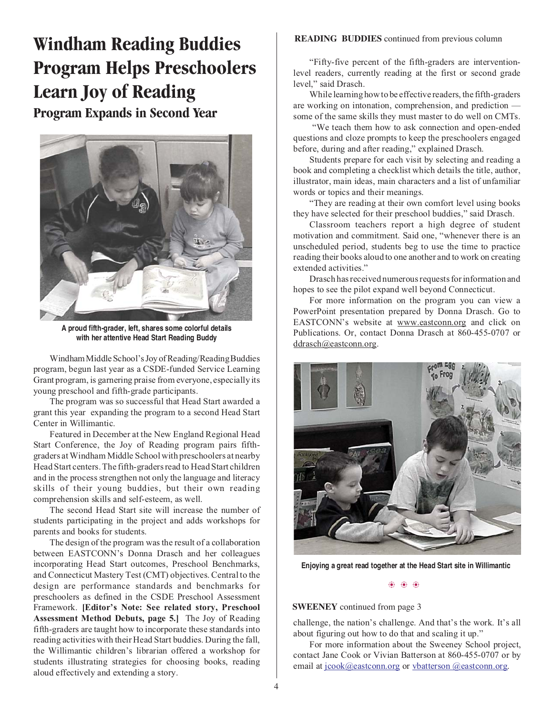**Windham Reading Buddies Program Helps Preschoolers Learn Joy of Reading Program Expands in Second Year**



**A proud fifth-grader, left, shares some colorful details with her attentive Head Start Reading Buddy**

Windham Middle School's Joy of Reading/Reading Buddies program, begun last year as a CSDE-funded Service Learning Grant program, is garnering praise from everyone, especially its young preschool and fifth-grade participants.

The program was so successful that Head Start awarded a grant this year expanding the program to a second Head Start Center in Willimantic.

Featured in December at the New England Regional Head Start Conference, the Joy of Reading program pairs fifthgraders at Windham Middle School with preschoolers at nearby Head Start centers. The fifth-graders read to Head Start children and in the process strengthen not only the language and literacy skills of their young buddies, but their own reading comprehension skills and self-esteem, as well.

The second Head Start site will increase the number of students participating in the project and adds workshops for parents and books for students.

The design of the program was the result of a collaboration between EASTCONN's Donna Drasch and her colleagues incorporating Head Start outcomes, Preschool Benchmarks, and Connecticut Mastery Test (CMT) objectives. Central to the design are performance standards and benchmarks for preschoolers as defined in the CSDE Preschool Assessment Framework. **[Editor's Note: See related story, Preschool Assessment Method Debuts, page 5.]** The Joy of Reading fifth-graders are taught how to incorporate these standards into reading activities with their Head Start buddies. During the fall, the Willimantic children's librarian offered a workshop for students illustrating strategies for choosing books, reading aloud effectively and extending a story.

#### **READING BUDDIES** continued from previous column

"Fifty-five percent of the fifth-graders are interventionlevel readers, currently reading at the first or second grade level," said Drasch.

While learning how to be effective readers, the fifth-graders are working on intonation, comprehension, and prediction some of the same skills they must master to do well on CMTs.

"We teach them how to ask connection and open-ended questions and cloze prompts to keep the preschoolers engaged before, during and after reading," explained Drasch.

Students prepare for each visit by selecting and reading a book and completing a checklist which details the title, author, illustrator, main ideas, main characters and a list of unfamiliar words or topics and their meanings.

"They are reading at their own comfort level using books they have selected for their preschool buddies," said Drasch.

Classroom teachers report a high degree of student motivation and commitment. Said one, "whenever there is an unscheduled period, students beg to use the time to practice reading their books aloud to one another and to work on creating extended activities."

Drasch has received numerous requests for information and hopes to see the pilot expand well beyond Connecticut.

For more information on the program you can view a PowerPoint presentation prepared by Donna Drasch. Go to EASTCONN's website at www.eastconn.org and click on Publications. Or, contact Donna Drasch at 860-455-0707 or ddrasch@eastconn.org.



**Enjoying a great read together at the Head Start site in Willimantic**

#### ❂ ❂ ❂

#### **SWEENEY** continued from page 3

challenge, the nation's challenge. And that's the work. It's all about figuring out how to do that and scaling it up."

For more information about the Sweeney School project, contact Jane Cook or Vivian Batterson at 860-455-0707 or by email at jcook@eastconn.org or vbatterson @eastconn.org.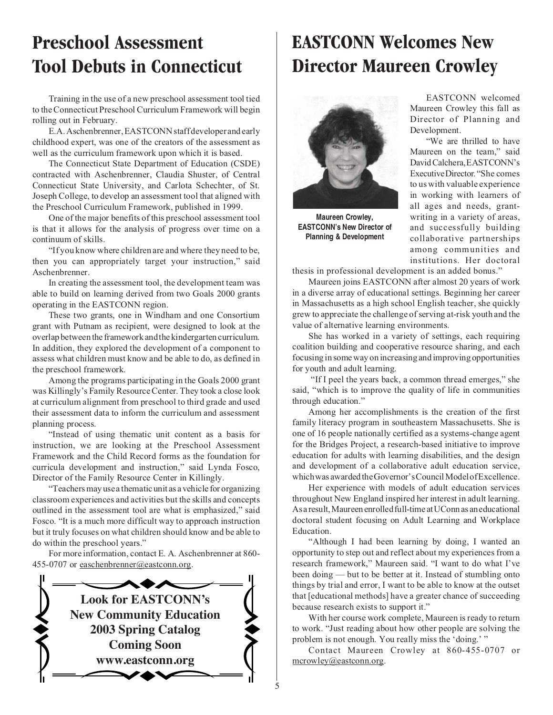### **Preschool Assessment Tool Debuts in Connecticut**

Training in the use of a new preschool assessment tool tied to the Connecticut Preschool Curriculum Framework will begin rolling out in February.

E.A. Aschenbrenner, EASTCONN staff developer and early childhood expert, was one of the creators of the assessment as well as the curriculum framework upon which it is based.

The Connecticut State Department of Education (CSDE) contracted with Aschenbrenner, Claudia Shuster, of Central Connecticut State University, and Carlota Schechter, of St. Joseph College, to develop an assessment tool that aligned with the Preschool Curriculum Framework, published in 1999.

One of the major benefits of this preschool assessment tool is that it allows for the analysis of progress over time on a continuum of skills.

"If you know where children are and where they need to be, then you can appropriately target your instruction," said Aschenbrenner.

In creating the assessment tool, the development team was able to build on learning derived from two Goals 2000 grants operating in the EASTCONN region.

These two grants, one in Windham and one Consortium grant with Putnam as recipient, were designed to look at the overlap between the framework and the kindergarten curriculum. In addition, they explored the development of a component to assess what children must know and be able to do, as defined in the preschool framework.

Among the programs participating in the Goals 2000 grant was Killingly's Family Resource Center. They took a close look at curriculum alignment from preschool to third grade and used their assessment data to inform the curriculum and assessment planning process.

"Instead of using thematic unit content as a basis for instruction, we are looking at the Preschool Assessment Framework and the Child Record forms as the foundation for curricula development and instruction," said Lynda Fosco, Director of the Family Resource Center in Killingly.

"Teachers may use a thematic unit as a vehicle for organizing classroom experiences and activities but the skills and concepts outlined in the assessment tool are what is emphasized," said Fosco. "It is a much more difficult way to approach instruction but it truly focuses on what children should know and be able to do within the preschool years."

For more information, contact E. A. Aschenbrenner at 860- 455-0707 or easchenbrenner@eastconn.org.



## **EASTCONN Welcomes New Director Maureen Crowley**



**Maureen Crowley, EASTCONN's New Director of Planning & Development**

EASTCONN welcomed Maureen Crowley this fall as Director of Planning and Development.

"We are thrilled to have Maureen on the team," said David Calchera, EASTCONN's Executive Director. "She comes to us with valuable experience in working with learners of all ages and needs, grantwriting in a variety of areas, and successfully building collaborative partnerships among communities and institutions. Her doctoral

thesis in professional development is an added bonus."

Maureen joins EASTCONN after almost 20 years of work in a diverse array of educational settings. Beginning her career in Massachusetts as a high school English teacher, she quickly grew to appreciate the challenge of serving at-risk youth and the value of alternative learning environments.

She has worked in a variety of settings, each requiring coalition building and cooperative resource sharing, and each focusing in some way on increasing and improving opportunities for youth and adult learning.

 "If I peel the years back, a common thread emerges," she said, "which is to improve the quality of life in communities through education."

Among her accomplishments is the creation of the first family literacy program in southeastern Massachusetts. She is one of 16 people nationally certified as a systems-change agent for the Bridges Project, a research-based initiative to improve education for adults with learning disabilities, and the design and development of a collaborative adult education service, which was awarded the Governor's Council Model of Excellence.

Her experience with models of adult education services throughout New England inspired her interest in adult learning. As a result, Maureen enrolled full-time at UConn as an educational doctoral student focusing on Adult Learning and Workplace Education.

"Although I had been learning by doing, I wanted an opportunity to step out and reflect about my experiences from a research framework," Maureen said. "I want to do what I've been doing — but to be better at it. Instead of stumbling onto things by trial and error, I want to be able to know at the outset that [educational methods] have a greater chance of succeeding because research exists to support it."

With her course work complete, Maureen is ready to return to work. "Just reading about how other people are solving the problem is not enough. You really miss the 'doing.' "

Contact Maureen Crowley at 860-455-0707 or mcrowley@eastconn.org.